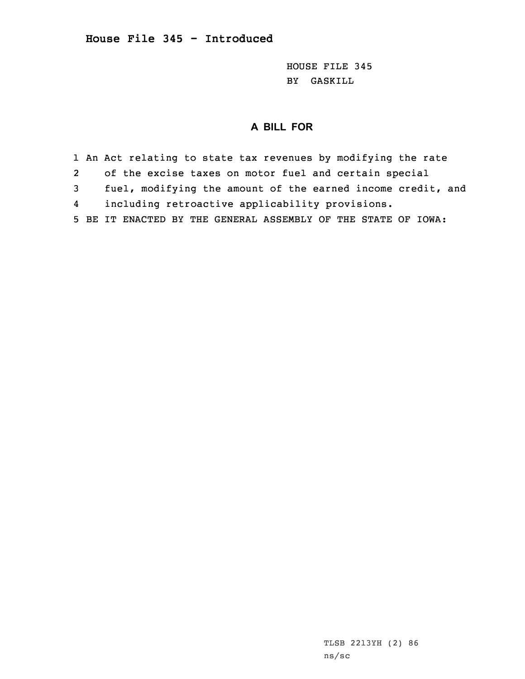HOUSE FILE 345 BY GASKILL

## **A BILL FOR**

1 An Act relating to state tax revenues by modifying the rate 2 of the excise taxes on motor fuel and certain special 3 fuel, modifying the amount of the earned income credit, and 4 including retroactive applicability provisions. 5 BE IT ENACTED BY THE GENERAL ASSEMBLY OF THE STATE OF IOWA: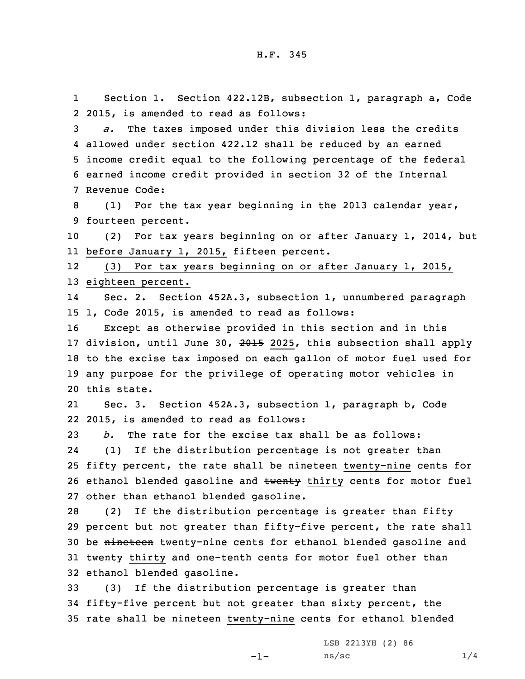1 Section 1. Section 422.12B, subsection 1, paragraph a, Code 2 2015, is amended to read as follows:

 *a.* The taxes imposed under this division less the credits allowed under section 422.12 shall be reduced by an earned income credit equal to the following percentage of the federal earned income credit provided in section 32 of the Internal Revenue Code:

8 (1) For the tax year beginning in the 2013 calendar year, 9 fourteen percent.

10 (2) For tax years beginning on or after January 1, 2014, but 11 before January 1, 2015, fifteen percent.

12 (3) For tax years beginning on or after January 1, 2015, 13 eighteen percent.

14 Sec. 2. Section 452A.3, subsection 1, unnumbered paragraph 15 1, Code 2015, is amended to read as follows:

 Except as otherwise provided in this section and in this 17 division, until June 30, 2015 2025, this subsection shall apply to the excise tax imposed on each gallon of motor fuel used for any purpose for the privilege of operating motor vehicles in this state.

21 Sec. 3. Section 452A.3, subsection 1, paragraph b, Code 22 2015, is amended to read as follows:

23 *b.* The rate for the excise tax shall be as follows: 24 (1) If the distribution percentage is not greater than 25 fifty percent, the rate shall be nineteen twenty-nine cents for 26 ethanol blended gasoline and twenty thirty cents for motor fuel 27 other than ethanol blended gasoline.

28 (2) If the distribution percentage is greater than fifty 29 percent but not greater than fifty-five percent, the rate shall 30 be nineteen twenty-nine cents for ethanol blended gasoline and 31 twenty thirty and one-tenth cents for motor fuel other than 32 ethanol blended gasoline.

33 (3) If the distribution percentage is greater than 34 fifty-five percent but not greater than sixty percent, the 35 rate shall be nineteen twenty-nine cents for ethanol blended

-1-

LSB 2213YH (2) 86  $ns/sec$  1/4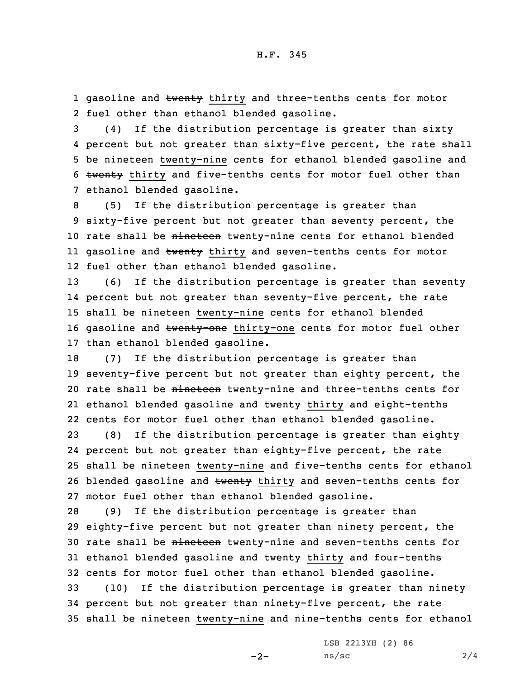1 gasoline and <del>twenty</del> thirty and three-tenths cents for motor 2 fuel other than ethanol blended gasoline.

3 (4) If the distribution percentage is greater than sixty 4 percent but not greater than sixty-five percent, the rate shall 5 be nineteen twenty-nine cents for ethanol blended gasoline and 6 twenty thirty and five-tenths cents for motor fuel other than 7 ethanol blended gasoline.

8 (5) If the distribution percentage is greater than 9 sixty-five percent but not greater than seventy percent, the 10 rate shall be nineteen twenty-nine cents for ethanol blended ll gasoline and <del>twenty</del> thirty and seven-tenths cents for motor 12 fuel other than ethanol blended gasoline.

13 (6) If the distribution percentage is greater than seventy 14 percent but not greater than seventy-five percent, the rate 15 shall be nineteen twenty-nine cents for ethanol blended 16 gasoline and twenty-one thirty-one cents for motor fuel other 17 than ethanol blended gasoline.

18 (7) If the distribution percentage is greater than 19 seventy-five percent but not greater than eighty percent, the 20 rate shall be nineteen twenty-nine and three-tenths cents for 21 ethanol blended gasoline and <del>twenty</del> thirty and eight-tenths 22 cents for motor fuel other than ethanol blended gasoline.

23 (8) If the distribution percentage is greater than eighty 24 percent but not greater than eighty-five percent, the rate 25 shall be nineteen twenty-nine and five-tenths cents for ethanol 26 blended gasoline and twenty thirty and seven-tenths cents for 27 motor fuel other than ethanol blended gasoline.

28 (9) If the distribution percentage is greater than 29 eighty-five percent but not greater than ninety percent, the 30 rate shall be nineteen twenty-nine and seven-tenths cents for 31 ethanol blended gasoline and twenty thirty and four-tenths 32 cents for motor fuel other than ethanol blended gasoline.

33 (10) If the distribution percentage is greater than ninety 34 percent but not greater than ninety-five percent, the rate 35 shall be nineteen twenty-nine and nine-tenths cents for ethanol

LSB 2213YH (2) 86

 $-2-$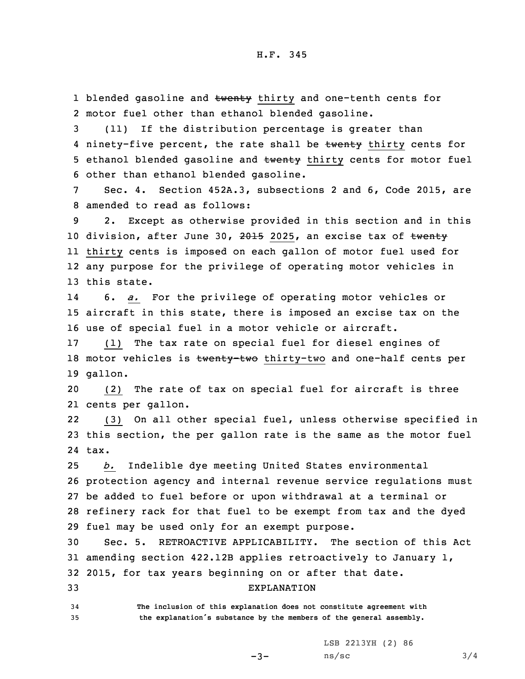1 blended gasoline and twenty thirty and one-tenth cents for 2 motor fuel other than ethanol blended gasoline.

3 (11) If the distribution percentage is greater than 4 ninety-five percent, the rate shall be twenty thirty cents for 5 ethanol blended gasoline and twenty thirty cents for motor fuel 6 other than ethanol blended gasoline.

7 Sec. 4. Section 452A.3, subsections 2 and 6, Code 2015, are 8 amended to read as follows:

 2. Except as otherwise provided in this section and in this 10 division, after June 30, 2015 2025, an excise tax of twenty thirty cents is imposed on each gallon of motor fuel used for any purpose for the privilege of operating motor vehicles in this state.

14 6. *a.* For the privilege of operating motor vehicles or 15 aircraft in this state, there is imposed an excise tax on the 16 use of special fuel in <sup>a</sup> motor vehicle or aircraft.

17 (1) The tax rate on special fuel for diesel engines of 18 motor vehicles is twenty-two thirty-two and one-half cents per 19 gallon.

20 (2) The rate of tax on special fuel for aircraft is three 21 cents per gallon.

22 (3) On all other special fuel, unless otherwise specified in 23 this section, the per gallon rate is the same as the motor fuel 24 tax.

 *b.* Indelible dye meeting United States environmental protection agency and internal revenue service regulations must be added to fuel before or upon withdrawal at <sup>a</sup> terminal or refinery rack for that fuel to be exempt from tax and the dyed fuel may be used only for an exempt purpose.

30 Sec. 5. RETROACTIVE APPLICABILITY. The section of this Act 31 amending section 422.12B applies retroactively to January 1, 32 2015, for tax years beginning on or after that date.

## 33 EXPLANATION

34 **The inclusion of this explanation does not constitute agreement with** <sup>35</sup> **the explanation's substance by the members of the general assembly.**

LSB 2213YH (2) 86

-3-